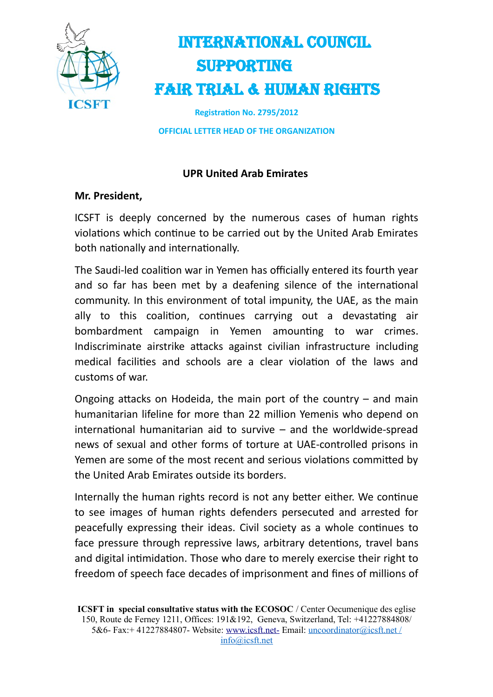

## INTERNATIONAL COUNCIL SUPPORTING FAIR TRIAL & HUMAN RIGHTS

**Registration No. 2795/2012**

**OFFICIAL LETTER HEAD OF THE ORGANIZATION**

### **UPR United Arab Emirates**

### **Mr. President,**

ICSFT is deeply concerned by the numerous cases of human rights violations which continue to be carried out by the United Arab Emirates both nationally and internationally.

The Saudi-led coalition war in Yemen has officially entered its fourth year and so far has been met by a deafening silence of the international community. In this environment of total impunity, the UAE, as the main ally to this coalition, continues carrying out a devastating air bombardment campaign in Yemen amounting to war crimes. Indiscriminate airstrike attacks against civilian infrastructure including medical facilities and schools are a clear violation of the laws and customs of war.

Ongoing attacks on Hodeida, the main port of the country – and main humanitarian lifeline for more than 22 million Yemenis who depend on international humanitarian aid to survive – and the worldwide-spread news of sexual and other forms of torture at UAE-controlled prisons in Yemen are some of the most recent and serious violations committed by the United Arab Emirates outside its borders.

Internally the human rights record is not any better either. We continue to see images of human rights defenders persecuted and arrested for peacefully expressing their ideas. Civil society as a whole continues to face pressure through repressive laws, arbitrary detentions, travel bans and digital intimidation. Those who dare to merely exercise their right to freedom of speech face decades of imprisonment and fines of millions of